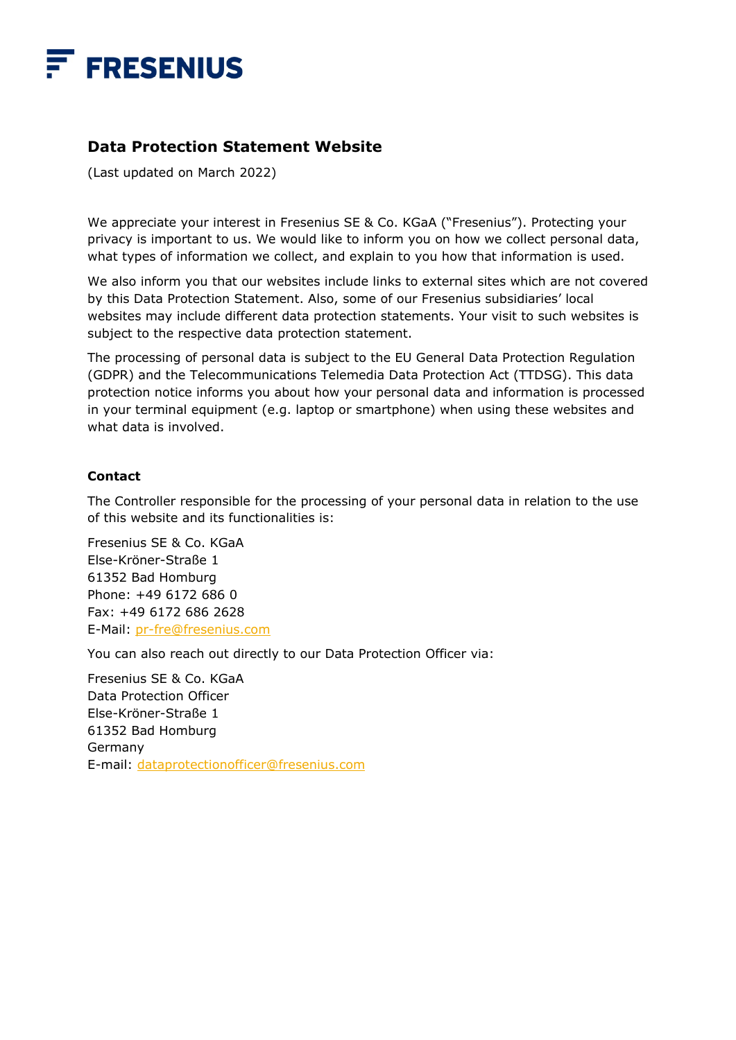

# **Data Protection Statement Website**

(Last updated on March 2022)

We appreciate your interest in Fresenius SE & Co. KGaA ("Fresenius"). Protecting your privacy is important to us. We would like to inform you on how we collect personal data, what types of information we collect, and explain to you how that information is used.

We also inform you that our websites include links to external sites which are not covered by this Data Protection Statement. Also, some of our Fresenius subsidiaries' local websites may include different data protection statements. Your visit to such websites is subject to the respective data protection statement.

The processing of personal data is subject to the EU General Data Protection Regulation (GDPR) and the Telecommunications Telemedia Data Protection Act (TTDSG). This data protection notice informs you about how your personal data and information is processed in your terminal equipment (e.g. laptop or smartphone) when using these websites and what data is involved.

### **Contact**

The Controller responsible for the processing of your personal data in relation to the use of this website and its functionalities is:

Fresenius SE & Co. KGaA Else-Kröner-Straße 1 61352 Bad Homburg Phone: +49 6172 686 0 Fax: +49 6172 686 2628 E-Mail: pr-fre@fresenius.com

You can also reach out directly to our Data Protection Officer via:

Fresenius SE & Co. KGaA Data Protection Officer Else-Kröner-Straße 1 61352 Bad Homburg Germany E-mail: dataprotectionofficer@fresenius.com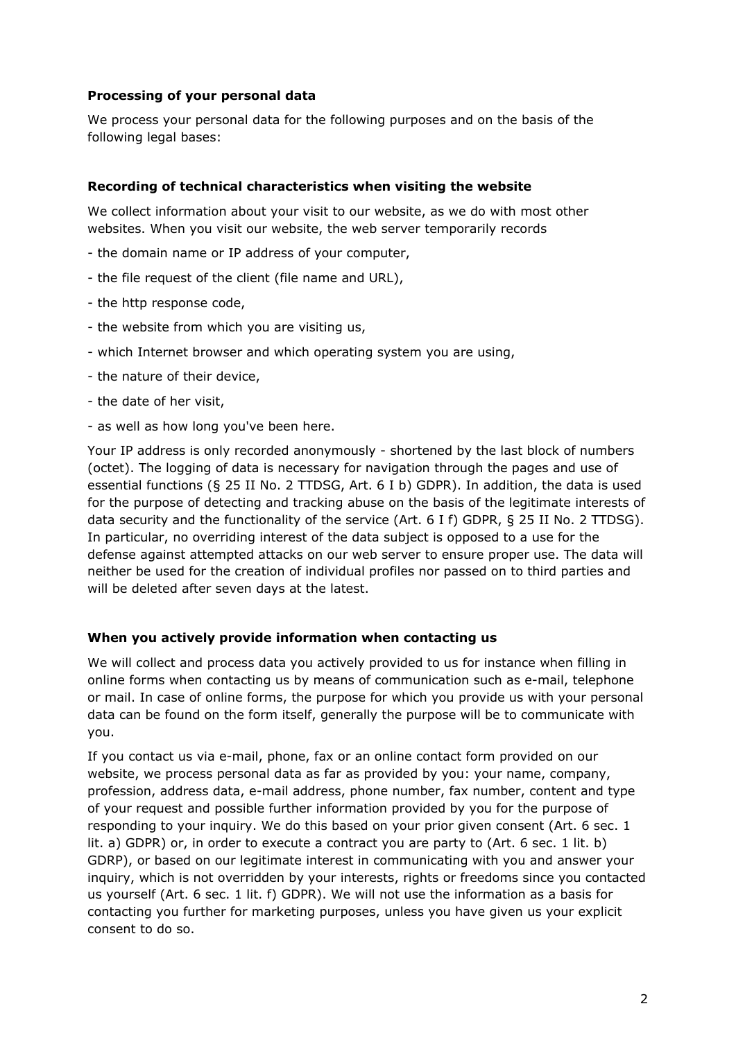## **Processing of your personal data**

We process your personal data for the following purposes and on the basis of the following legal bases:

## **Recording of technical characteristics when visiting the website**

We collect information about your visit to our website, as we do with most other websites. When you visit our website, the web server temporarily records

- the domain name or IP address of your computer,
- the file request of the client (file name and URL),
- the http response code,
- the website from which you are visiting us,
- which Internet browser and which operating system you are using,
- the nature of their device,
- the date of her visit,
- as well as how long you've been here.

Your IP address is only recorded anonymously - shortened by the last block of numbers (octet). The logging of data is necessary for navigation through the pages and use of essential functions (§ 25 II No. 2 TTDSG, Art. 6 I b) GDPR). In addition, the data is used for the purpose of detecting and tracking abuse on the basis of the legitimate interests of data security and the functionality of the service (Art. 6 I f) GDPR, § 25 II No. 2 TTDSG). In particular, no overriding interest of the data subject is opposed to a use for the defense against attempted attacks on our web server to ensure proper use. The data will neither be used for the creation of individual profiles nor passed on to third parties and will be deleted after seven days at the latest.

### **When you actively provide information when contacting us**

We will collect and process data you actively provided to us for instance when filling in online forms when contacting us by means of communication such as e-mail, telephone or mail. In case of online forms, the purpose for which you provide us with your personal data can be found on the form itself, generally the purpose will be to communicate with you.

If you contact us via e-mail, phone, fax or an online contact form provided on our website, we process personal data as far as provided by you: your name, company, profession, address data, e-mail address, phone number, fax number, content and type of your request and possible further information provided by you for the purpose of responding to your inquiry. We do this based on your prior given consent (Art. 6 sec. 1 lit. a) GDPR) or, in order to execute a contract you are party to (Art. 6 sec. 1 lit. b) GDRP), or based on our legitimate interest in communicating with you and answer your inquiry, which is not overridden by your interests, rights or freedoms since you contacted us yourself (Art. 6 sec. 1 lit. f) GDPR). We will not use the information as a basis for contacting you further for marketing purposes, unless you have given us your explicit consent to do so.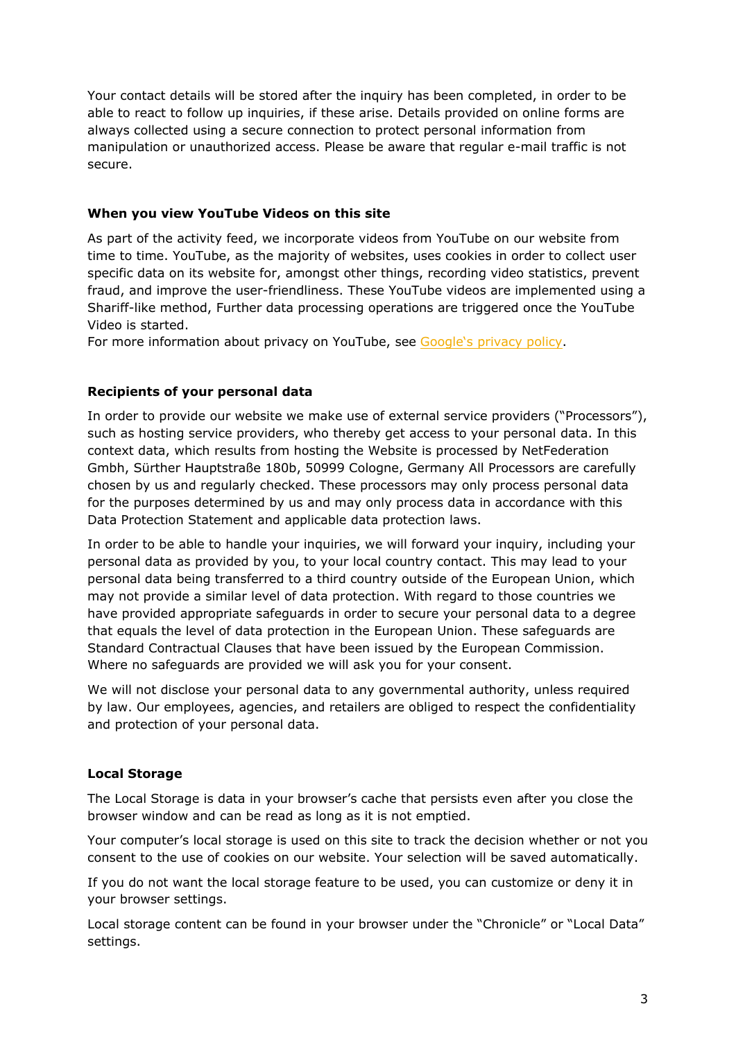Your contact details will be stored after the inquiry has been completed, in order to be able to react to follow up inquiries, if these arise. Details provided on online forms are always collected using a secure connection to protect personal information from manipulation or unauthorized access. Please be aware that regular e-mail traffic is not secure.

## **When you view YouTube Videos on this site**

As part of the activity feed, we incorporate videos from YouTube on our website from time to time. YouTube, as the majority of websites, uses cookies in order to collect user specific data on its website for, amongst other things, recording video statistics, prevent fraud, and improve the user-friendliness. These YouTube videos are implemented using a Shariff-like method, Further data processing operations are triggered once the YouTube Video is started.

For more information about privacy on YouTube, see [Google's privacy policy](Data Protection Statement Website).

# **Recipients of your personal data**

In order to provide our website we make use of external service providers ("Processors"), such as hosting service providers, who thereby get access to your personal data. In this context data, which results from hosting the Website is processed by NetFederation Gmbh, Sürther Hauptstraße 180b, 50999 Cologne, Germany All Processors are carefully chosen by us and regularly checked. These processors may only process personal data for the purposes determined by us and may only process data in accordance with this Data Protection Statement and applicable data protection laws.

In order to be able to handle your inquiries, we will forward your inquiry, including your personal data as provided by you, to your local country contact. This may lead to your personal data being transferred to a third country outside of the European Union, which may not provide a similar level of data protection. With regard to those countries we have provided appropriate safeguards in order to secure your personal data to a degree that equals the level of data protection in the European Union. These safeguards are Standard Contractual Clauses that have been issued by the European Commission. Where no safeguards are provided we will ask you for your consent.

We will not disclose your personal data to any governmental authority, unless required by law. Our employees, agencies, and retailers are obliged to respect the confidentiality and protection of your personal data.

# **Local Storage**

The Local Storage is data in your browser's cache that persists even after you close the browser window and can be read as long as it is not emptied.

Your computer's local storage is used on this site to track the decision whether or not you consent to the use of cookies on our website. Your selection will be saved automatically.

If you do not want the local storage feature to be used, you can customize or deny it in your browser settings.

Local storage content can be found in your browser under the "Chronicle" or "Local Data" settings.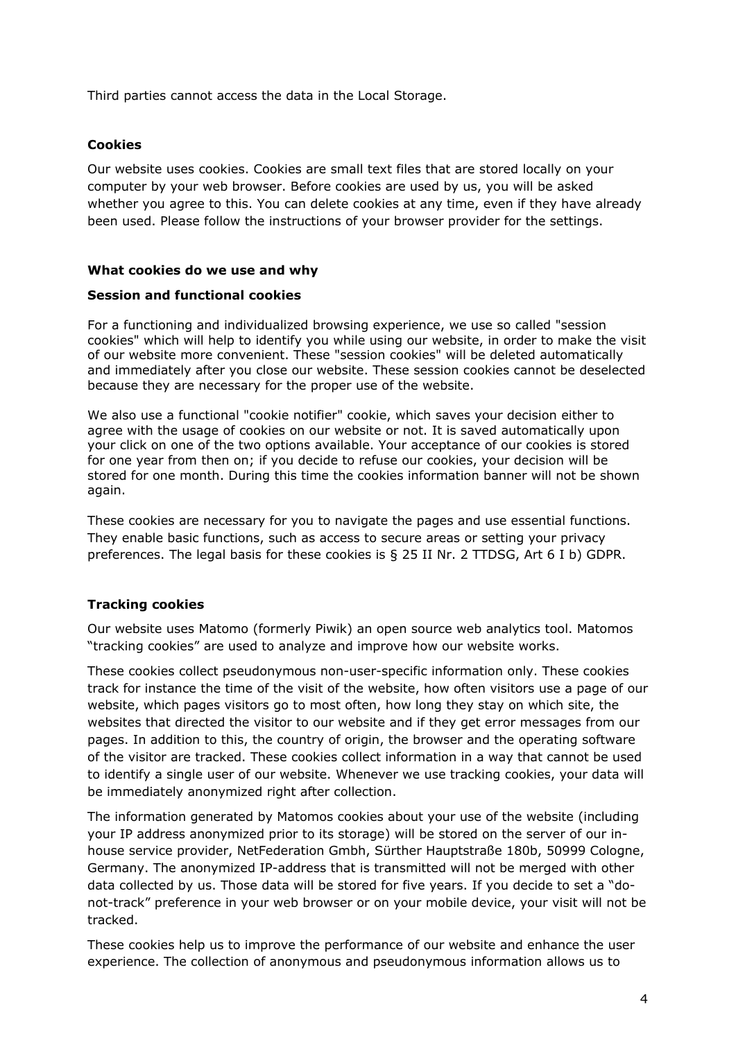Third parties cannot access the data in the Local Storage.

### **Cookies**

Our website uses cookies. Cookies are small text files that are stored locally on your computer by your web browser. Before cookies are used by us, you will be asked whether you agree to this. You can delete cookies at any time, even if they have already been used. Please follow the instructions of your browser provider for the settings.

#### **What cookies do we use and why**

#### **Session and functional cookies**

For a functioning and individualized browsing experience, we use so called "session cookies" which will help to identify you while using our website, in order to make the visit of our website more convenient. These "session cookies" will be deleted automatically and immediately after you close our website. These session cookies cannot be deselected because they are necessary for the proper use of the website.

We also use a functional "cookie notifier" cookie, which saves your decision either to agree with the usage of cookies on our website or not. It is saved automatically upon your click on one of the two options available. Your acceptance of our cookies is stored for one year from then on; if you decide to refuse our cookies, your decision will be stored for one month. During this time the cookies information banner will not be shown again.

These cookies are necessary for you to navigate the pages and use essential functions. They enable basic functions, such as access to secure areas or setting your privacy preferences. The legal basis for these cookies is § 25 II Nr. 2 TTDSG, Art 6 I b) GDPR.

### **Tracking cookies**

Our website uses Matomo (formerly Piwik) an open source web analytics tool. Matomos "tracking cookies" are used to analyze and improve how our website works.

These cookies collect pseudonymous non-user-specific information only. These cookies track for instance the time of the visit of the website, how often visitors use a page of our website, which pages visitors go to most often, how long they stay on which site, the websites that directed the visitor to our website and if they get error messages from our pages. In addition to this, the country of origin, the browser and the operating software of the visitor are tracked. These cookies collect information in a way that cannot be used to identify a single user of our website. Whenever we use tracking cookies, your data will be immediately anonymized right after collection.

The information generated by Matomos cookies about your use of the website (including your IP address anonymized prior to its storage) will be stored on the server of our inhouse service provider, NetFederation Gmbh, Sürther Hauptstraße 180b, 50999 Cologne, Germany. The anonymized IP-address that is transmitted will not be merged with other data collected by us. Those data will be stored for five years. If you decide to set a "donot-track" preference in your web browser or on your mobile device, your visit will not be tracked.

These cookies help us to improve the performance of our website and enhance the user experience. The collection of anonymous and pseudonymous information allows us to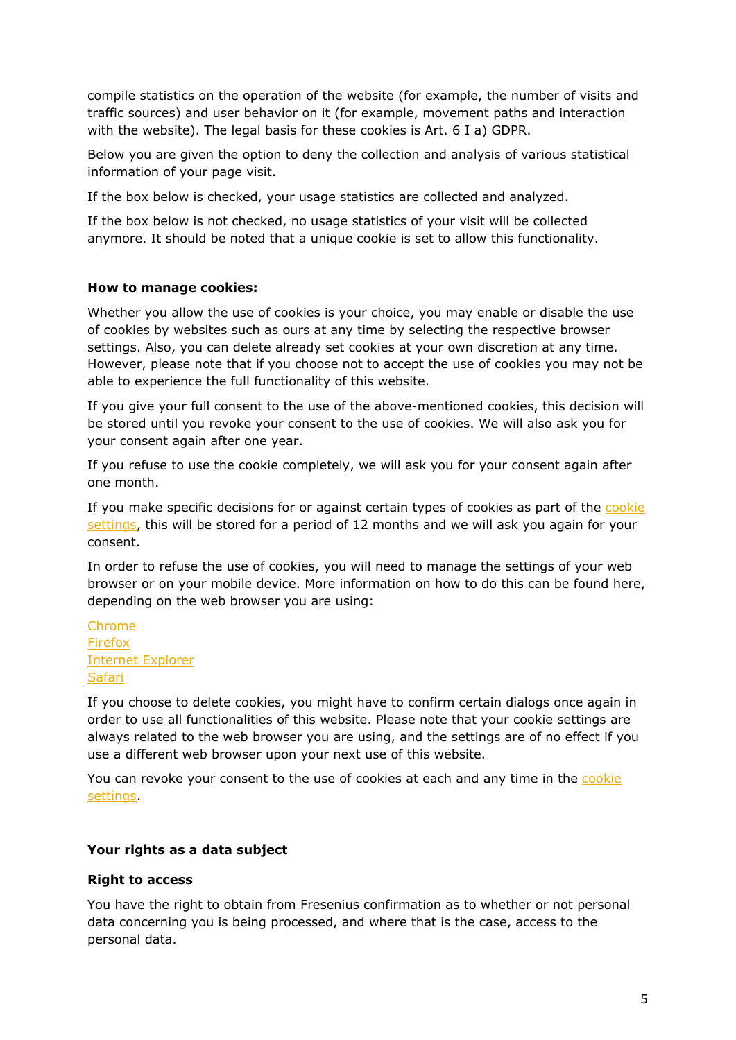compile statistics on the operation of the website (for example, the number of visits and traffic sources) and user behavior on it (for example, movement paths and interaction with the website). The legal basis for these cookies is Art. 6 I a) GDPR.

Below you are given the option to deny the collection and analysis of various statistical information of your page visit.

If the box below is checked, your usage statistics are collected and analyzed.

If the box below is not checked, no usage statistics of your visit will be collected anymore. It should be noted that a unique cookie is set to allow this functionality.

#### **How to manage cookies:**

Whether you allow the use of cookies is your choice, you may enable or disable the use of cookies by websites such as ours at any time by selecting the respective browser settings. Also, you can delete already set cookies at your own discretion at any time. However, please note that if you choose not to accept the use of cookies you may not be able to experience the full functionality of this website.

If you give your full consent to the use of the above-mentioned cookies, this decision will be stored until you revoke your consent to the use of cookies. We will also ask you for your consent again after one year.

If you refuse to use the cookie completely, we will ask you for your consent again after one month.

If you make specific decisions for or against certain types of cookies as part of the cookie settings, this will be stored for a period of 12 months and we will ask you again for your consent.

In order to refuse the use of cookies, you will need to manage the settings of your web browser or on your mobile device. More information on how to do this can be found here, depending on the web browser you are using:

Chrome Firefox Internet Explorer Safari

If you choose to delete cookies, you might have to confirm certain dialogs once again in order to use all functionalities of this website. Please note that your cookie settings are always related to the web browser you are using, and the settings are of no effect if you use a different web browser upon your next use of this website.

You can revoke your consent to the use of cookies at each and any time in the cookie settings.

### **Your rights as a data subject**

#### **Right to access**

You have the right to obtain from Fresenius confirmation as to whether or not personal data concerning you is being processed, and where that is the case, access to the personal data.